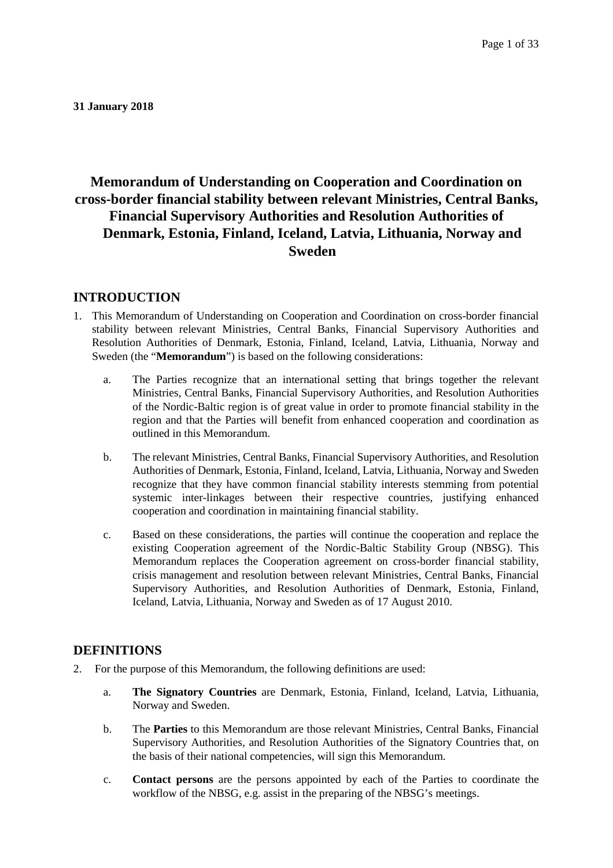**31 January 2018**

# **Memorandum of Understanding on Cooperation and Coordination on cross-border financial stability between relevant Ministries, Central Banks, Financial Supervisory Authorities and Resolution Authorities of Denmark, Estonia, Finland, Iceland, Latvia, Lithuania, Norway and Sweden**

### **INTRODUCTION**

- 1. This Memorandum of Understanding on Cooperation and Coordination on cross-border financial stability between relevant Ministries, Central Banks, Financial Supervisory Authorities and Resolution Authorities of Denmark, Estonia, Finland, Iceland, Latvia, Lithuania, Norway and Sweden (the "**Memorandum**") is based on the following considerations:
	- a. The Parties recognize that an international setting that brings together the relevant Ministries, Central Banks, Financial Supervisory Authorities, and Resolution Authorities of the Nordic-Baltic region is of great value in order to promote financial stability in the region and that the Parties will benefit from enhanced cooperation and coordination as outlined in this Memorandum.
	- b. The relevant Ministries, Central Banks, Financial Supervisory Authorities, and Resolution Authorities of Denmark, Estonia, Finland, Iceland, Latvia, Lithuania, Norway and Sweden recognize that they have common financial stability interests stemming from potential systemic inter-linkages between their respective countries, justifying enhanced cooperation and coordination in maintaining financial stability.
	- c. Based on these considerations, the parties will continue the cooperation and replace the existing Cooperation agreement of the Nordic-Baltic Stability Group (NBSG). This Memorandum replaces the Cooperation agreement on cross-border financial stability, crisis management and resolution between relevant Ministries, Central Banks, Financial Supervisory Authorities, and Resolution Authorities of Denmark, Estonia, Finland, Iceland, Latvia, Lithuania, Norway and Sweden as of 17 August 2010.

#### **DEFINITIONS**

- 2. For the purpose of this Memorandum, the following definitions are used:
	- a. **The Signatory Countries** are Denmark, Estonia, Finland, Iceland, Latvia, Lithuania, Norway and Sweden.
	- b. The **Parties** to this Memorandum are those relevant Ministries, Central Banks, Financial Supervisory Authorities, and Resolution Authorities of the Signatory Countries that, on the basis of their national competencies, will sign this Memorandum.
	- c. **Contact persons** are the persons appointed by each of the Parties to coordinate the workflow of the NBSG, e.g. assist in the preparing of the NBSG's meetings.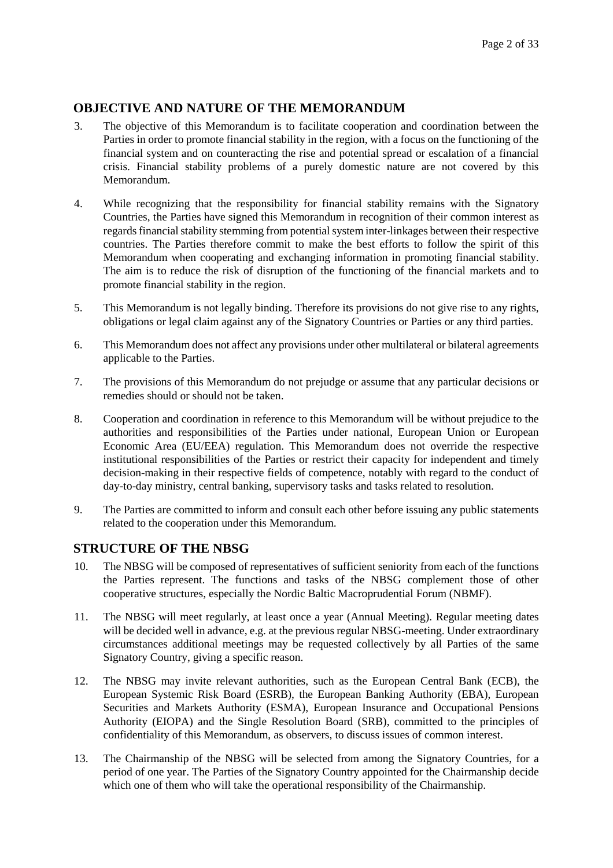### **OBJECTIVE AND NATURE OF THE MEMORANDUM**

- 3. The objective of this Memorandum is to facilitate cooperation and coordination between the Parties in order to promote financial stability in the region, with a focus on the functioning of the financial system and on counteracting the rise and potential spread or escalation of a financial crisis. Financial stability problems of a purely domestic nature are not covered by this Memorandum.
- 4. While recognizing that the responsibility for financial stability remains with the Signatory Countries, the Parties have signed this Memorandum in recognition of their common interest as regards financial stability stemming from potential system inter-linkages between their respective countries. The Parties therefore commit to make the best efforts to follow the spirit of this Memorandum when cooperating and exchanging information in promoting financial stability. The aim is to reduce the risk of disruption of the functioning of the financial markets and to promote financial stability in the region.
- 5. This Memorandum is not legally binding. Therefore its provisions do not give rise to any rights, obligations or legal claim against any of the Signatory Countries or Parties or any third parties.
- 6. This Memorandum does not affect any provisions under other multilateral or bilateral agreements applicable to the Parties.
- 7. The provisions of this Memorandum do not prejudge or assume that any particular decisions or remedies should or should not be taken.
- 8. Cooperation and coordination in reference to this Memorandum will be without prejudice to the authorities and responsibilities of the Parties under national, European Union or European Economic Area (EU/EEA) regulation. This Memorandum does not override the respective institutional responsibilities of the Parties or restrict their capacity for independent and timely decision-making in their respective fields of competence, notably with regard to the conduct of day-to-day ministry, central banking, supervisory tasks and tasks related to resolution.
- 9. The Parties are committed to inform and consult each other before issuing any public statements related to the cooperation under this Memorandum.

### **STRUCTURE OF THE NBSG**

- 10. The NBSG will be composed of representatives of sufficient seniority from each of the functions the Parties represent. The functions and tasks of the NBSG complement those of other cooperative structures, especially the Nordic Baltic Macroprudential Forum (NBMF).
- 11. The NBSG will meet regularly, at least once a year (Annual Meeting). Regular meeting dates will be decided well in advance, e.g. at the previous regular NBSG-meeting. Under extraordinary circumstances additional meetings may be requested collectively by all Parties of the same Signatory Country, giving a specific reason.
- 12. The NBSG may invite relevant authorities, such as the European Central Bank (ECB), the European Systemic Risk Board (ESRB), the European Banking Authority (EBA), European Securities and Markets Authority (ESMA), European Insurance and Occupational Pensions Authority (EIOPA) and the Single Resolution Board (SRB), committed to the principles of confidentiality of this Memorandum, as observers, to discuss issues of common interest.
- 13. The Chairmanship of the NBSG will be selected from among the Signatory Countries, for a period of one year. The Parties of the Signatory Country appointed for the Chairmanship decide which one of them who will take the operational responsibility of the Chairmanship.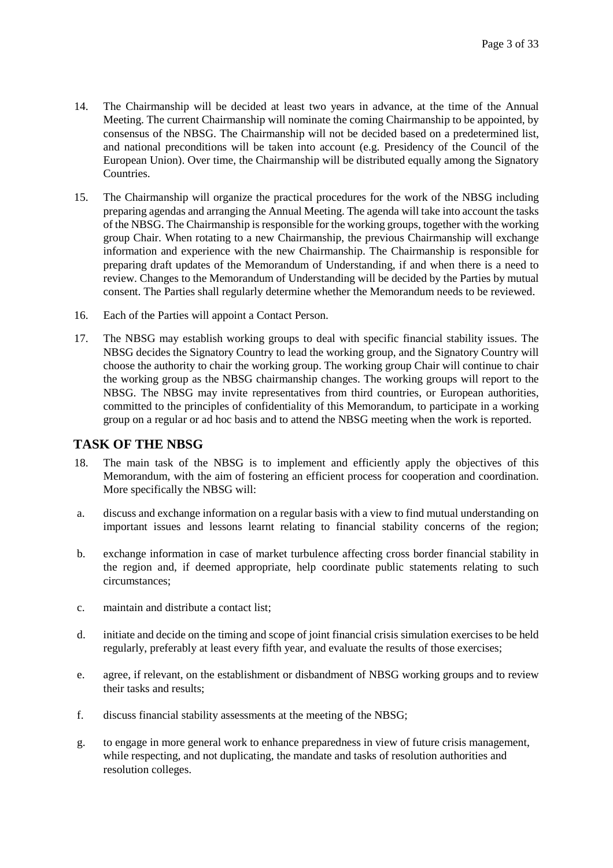- 14. The Chairmanship will be decided at least two years in advance, at the time of the Annual Meeting. The current Chairmanship will nominate the coming Chairmanship to be appointed, by consensus of the NBSG. The Chairmanship will not be decided based on a predetermined list, and national preconditions will be taken into account (e.g. Presidency of the Council of the European Union). Over time, the Chairmanship will be distributed equally among the Signatory Countries.
- 15. The Chairmanship will organize the practical procedures for the work of the NBSG including preparing agendas and arranging the Annual Meeting. The agenda will take into account the tasks of the NBSG. The Chairmanship is responsible for the working groups, together with the working group Chair. When rotating to a new Chairmanship, the previous Chairmanship will exchange information and experience with the new Chairmanship. The Chairmanship is responsible for preparing draft updates of the Memorandum of Understanding, if and when there is a need to review. Changes to the Memorandum of Understanding will be decided by the Parties by mutual consent. The Parties shall regularly determine whether the Memorandum needs to be reviewed.
- 16. Each of the Parties will appoint a Contact Person.
- 17. The NBSG may establish working groups to deal with specific financial stability issues. The NBSG decides the Signatory Country to lead the working group, and the Signatory Country will choose the authority to chair the working group. The working group Chair will continue to chair the working group as the NBSG chairmanship changes. The working groups will report to the NBSG. The NBSG may invite representatives from third countries, or European authorities, committed to the principles of confidentiality of this Memorandum, to participate in a working group on a regular or ad hoc basis and to attend the NBSG meeting when the work is reported.

#### **TASK OF THE NBSG**

- 18. The main task of the NBSG is to implement and efficiently apply the objectives of this Memorandum, with the aim of fostering an efficient process for cooperation and coordination. More specifically the NBSG will:
- a. discuss and exchange information on a regular basis with a view to find mutual understanding on important issues and lessons learnt relating to financial stability concerns of the region;
- b. exchange information in case of market turbulence affecting cross border financial stability in the region and, if deemed appropriate, help coordinate public statements relating to such circumstances;
- c. maintain and distribute a contact list;
- d. initiate and decide on the timing and scope of joint financial crisis simulation exercises to be held regularly, preferably at least every fifth year, and evaluate the results of those exercises;
- e. agree, if relevant, on the establishment or disbandment of NBSG working groups and to review their tasks and results;
- f. discuss financial stability assessments at the meeting of the NBSG;
- g. to engage in more general work to enhance preparedness in view of future crisis management, while respecting, and not duplicating, the mandate and tasks of resolution authorities and resolution colleges.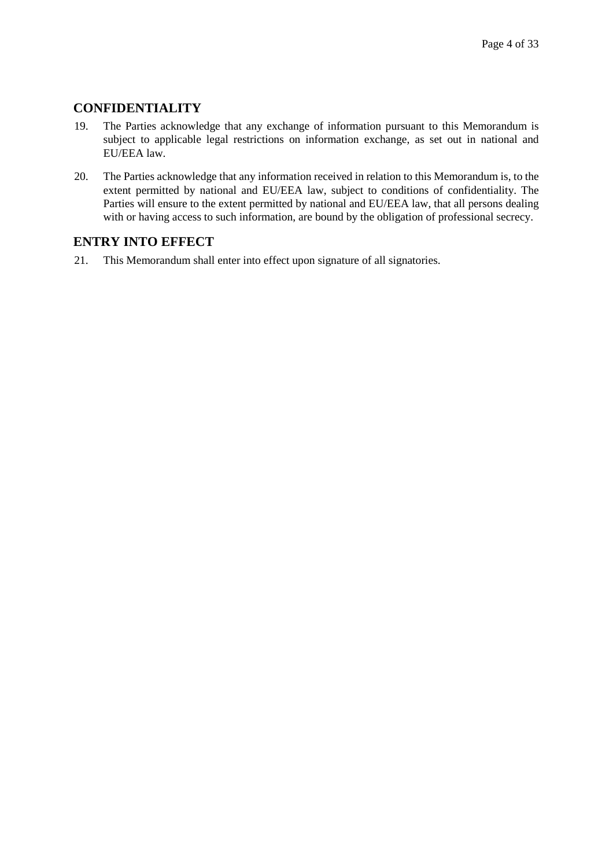### **CONFIDENTIALITY**

- 19. The Parties acknowledge that any exchange of information pursuant to this Memorandum is subject to applicable legal restrictions on information exchange, as set out in national and EU/EEA law.
- 20. The Parties acknowledge that any information received in relation to this Memorandum is, to the extent permitted by national and EU/EEA law, subject to conditions of confidentiality. The Parties will ensure to the extent permitted by national and EU/EEA law, that all persons dealing with or having access to such information, are bound by the obligation of professional secrecy.

### **ENTRY INTO EFFECT**

21. This Memorandum shall enter into effect upon signature of all signatories.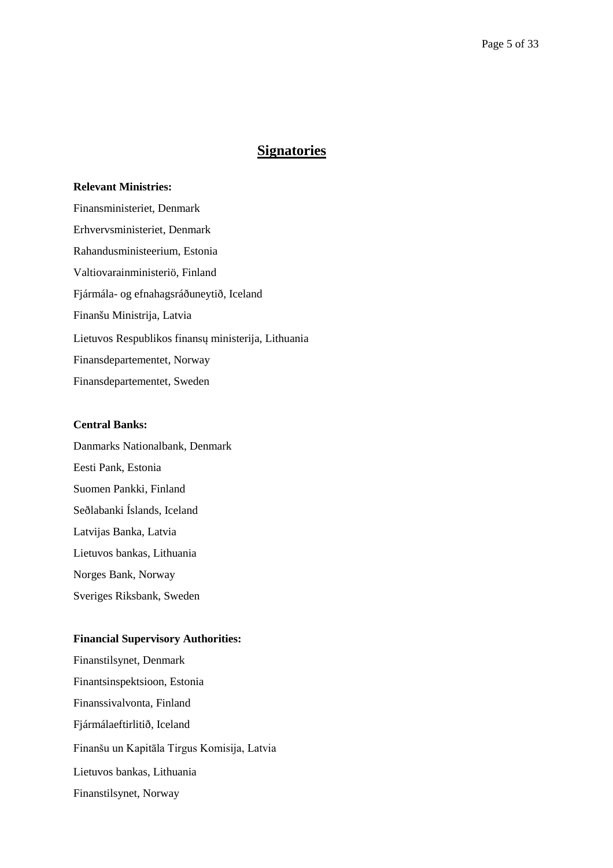## **Signatories**

#### **Relevant Ministries:**

Finansministeriet, Denmark Erhvervsministeriet, Denmark Rahandusministeerium, Estonia Valtiovarainministeriö, Finland Fjármála- og efnahagsráðuneytið, Iceland Finanšu Ministrija, Latvia Lietuvos Respublikos finansų ministerija, Lithuania Finansdepartementet, Norway Finansdepartementet, Sweden

#### **Central Banks:**

Danmarks Nationalbank, Denmark Eesti Pank, Estonia Suomen Pankki, Finland Seðlabanki Íslands, Iceland Latvijas Banka, Latvia Lietuvos bankas, Lithuania Norges Bank, Norway Sveriges Riksbank, Sweden

#### **Financial Supervisory Authorities:**

Finanstilsynet, Denmark Finantsinspektsioon, Estonia Finanssivalvonta, Finland Fjármálaeftirlitið, Iceland Finanšu un Kapitāla Tirgus Komisija, Latvia Lietuvos bankas, Lithuania Finanstilsynet, Norway